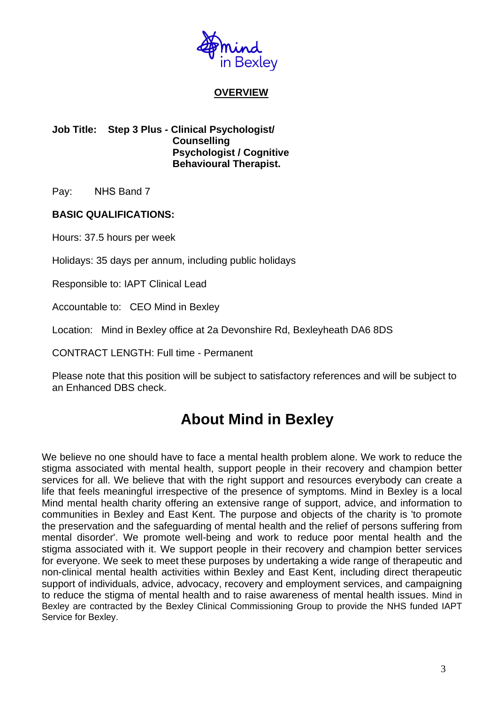

## **OVERVIEW**

#### **Job Title: Step 3 Plus - Clinical Psychologist/ Counselling Psychologist / Cognitive Behavioural Therapist.**

Pay: NHS Band 7

## **BASIC QUALIFICATIONS:**

Hours: 37.5 hours per week

Holidays: 35 days per annum, including public holidays

Responsible to: IAPT Clinical Lead

Accountable to: CEO Mind in Bexley

Location: Mind in Bexley office at 2a Devonshire Rd, Bexleyheath DA6 8DS

CONTRACT LENGTH: Full time - Permanent

Please note that this position will be subject to satisfactory references and will be subject to an Enhanced DBS check.

# **About Mind in Bexley**

We believe no one should have to face a mental health problem alone. We work to reduce the stigma associated with mental health, support people in their recovery and champion better services for all. We believe that with the right support and resources everybody can create a life that feels meaningful irrespective of the presence of symptoms. Mind in Bexley is a local Mind mental health charity offering an extensive range of support, advice, and information to communities in Bexley and East Kent. The purpose and objects of the charity is 'to promote the preservation and the safeguarding of mental health and the relief of persons suffering from mental disorder'. We promote well-being and work to reduce poor mental health and the stigma associated with it. We support people in their recovery and champion better services for everyone. We seek to meet these purposes by undertaking a wide range of therapeutic and non-clinical mental health activities within Bexley and East Kent, including direct therapeutic support of individuals, advice, advocacy, recovery and employment services, and campaigning to reduce the stigma of mental health and to raise awareness of mental health issues. Mind in Bexley are contracted by the Bexley Clinical Commissioning Group to provide the NHS funded IAPT Service for Bexley.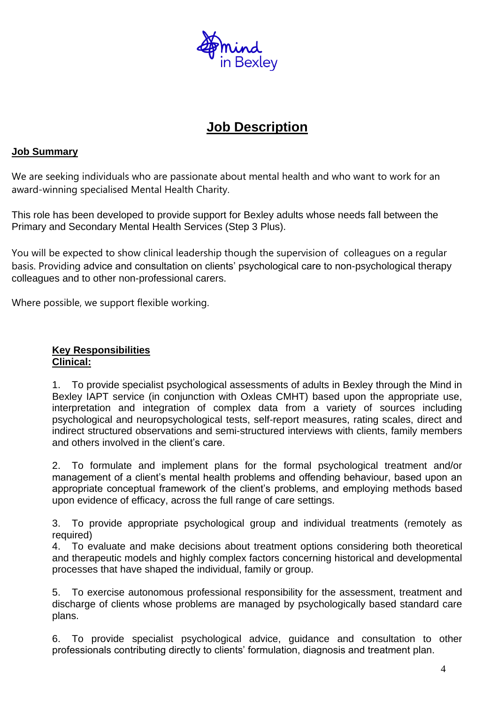

## **Job Description**

## **Job Summary**

We are seeking individuals who are passionate about mental health and who want to work for an award-winning specialised Mental Health Charity.

This role has been developed to provide support for Bexley adults whose needs fall between the Primary and Secondary Mental Health Services (Step 3 Plus).

You will be expected to show clinical leadership though the supervision of colleagues on a regular basis. Providing advice and consultation on clients' psychological care to non-psychological therapy colleagues and to other non-professional carers.

Where possible, we support flexible working.

## **Key Responsibilities Clinical:**

1. To provide specialist psychological assessments of adults in Bexley through the Mind in Bexley IAPT service (in conjunction with Oxleas CMHT) based upon the appropriate use, interpretation and integration of complex data from a variety of sources including psychological and neuropsychological tests, self-report measures, rating scales, direct and indirect structured observations and semi-structured interviews with clients, family members and others involved in the client's care.

2. To formulate and implement plans for the formal psychological treatment and/or management of a client's mental health problems and offending behaviour, based upon an appropriate conceptual framework of the client's problems, and employing methods based upon evidence of efficacy, across the full range of care settings.

3. To provide appropriate psychological group and individual treatments (remotely as required)

4. To evaluate and make decisions about treatment options considering both theoretical and therapeutic models and highly complex factors concerning historical and developmental processes that have shaped the individual, family or group.

5. To exercise autonomous professional responsibility for the assessment, treatment and discharge of clients whose problems are managed by psychologically based standard care plans.

6. To provide specialist psychological advice, guidance and consultation to other professionals contributing directly to clients' formulation, diagnosis and treatment plan.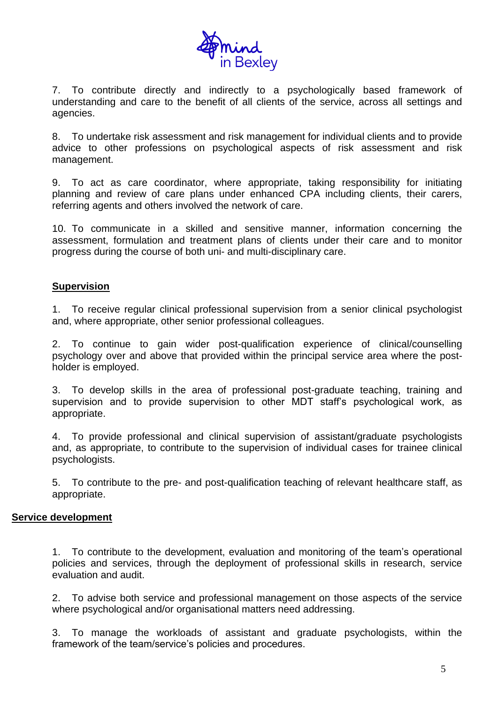

7. To contribute directly and indirectly to a psychologically based framework of understanding and care to the benefit of all clients of the service, across all settings and agencies.

8. To undertake risk assessment and risk management for individual clients and to provide advice to other professions on psychological aspects of risk assessment and risk management.

9. To act as care coordinator, where appropriate, taking responsibility for initiating planning and review of care plans under enhanced CPA including clients, their carers, referring agents and others involved the network of care.

10. To communicate in a skilled and sensitive manner, information concerning the assessment, formulation and treatment plans of clients under their care and to monitor progress during the course of both uni- and multi-disciplinary care.

#### **Supervision**

1. To receive regular clinical professional supervision from a senior clinical psychologist and, where appropriate, other senior professional colleagues.

2. To continue to gain wider post-qualification experience of clinical/counselling psychology over and above that provided within the principal service area where the postholder is employed.

3. To develop skills in the area of professional post-graduate teaching, training and supervision and to provide supervision to other MDT staff's psychological work, as appropriate.

4. To provide professional and clinical supervision of assistant/graduate psychologists and, as appropriate, to contribute to the supervision of individual cases for trainee clinical psychologists.

5. To contribute to the pre- and post-qualification teaching of relevant healthcare staff, as appropriate.

#### **Service development**

1. To contribute to the development, evaluation and monitoring of the team's operational policies and services, through the deployment of professional skills in research, service evaluation and audit.

2. To advise both service and professional management on those aspects of the service where psychological and/or organisational matters need addressing.

3. To manage the workloads of assistant and graduate psychologists, within the framework of the team/service's policies and procedures.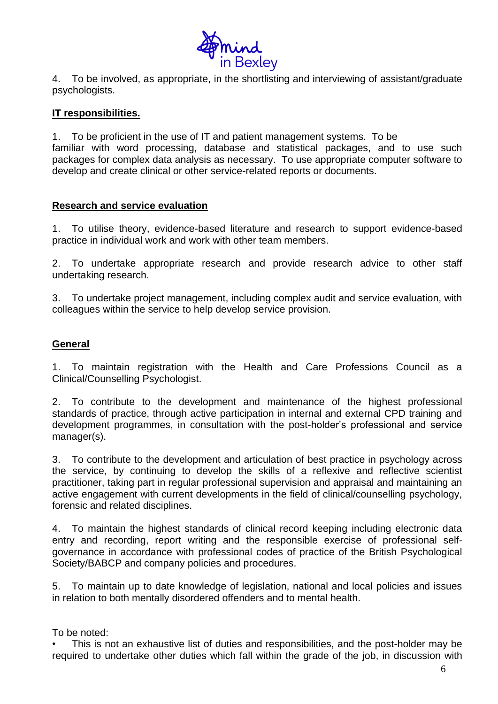

4. To be involved, as appropriate, in the shortlisting and interviewing of assistant/graduate psychologists.

## **IT responsibilities.**

1. To be proficient in the use of IT and patient management systems. To be familiar with word processing, database and statistical packages, and to use such packages for complex data analysis as necessary. To use appropriate computer software to develop and create clinical or other service-related reports or documents.

## **Research and service evaluation**

1. To utilise theory, evidence-based literature and research to support evidence-based practice in individual work and work with other team members.

2. To undertake appropriate research and provide research advice to other staff undertaking research.

3. To undertake project management, including complex audit and service evaluation, with colleagues within the service to help develop service provision.

## **General**

1. To maintain registration with the Health and Care Professions Council as a Clinical/Counselling Psychologist.

2. To contribute to the development and maintenance of the highest professional standards of practice, through active participation in internal and external CPD training and development programmes, in consultation with the post-holder's professional and service manager(s).

3. To contribute to the development and articulation of best practice in psychology across the service, by continuing to develop the skills of a reflexive and reflective scientist practitioner, taking part in regular professional supervision and appraisal and maintaining an active engagement with current developments in the field of clinical/counselling psychology, forensic and related disciplines.

4. To maintain the highest standards of clinical record keeping including electronic data entry and recording, report writing and the responsible exercise of professional selfgovernance in accordance with professional codes of practice of the British Psychological Society/BABCP and company policies and procedures.

5. To maintain up to date knowledge of legislation, national and local policies and issues in relation to both mentally disordered offenders and to mental health.

## To be noted:

• This is not an exhaustive list of duties and responsibilities, and the post-holder may be required to undertake other duties which fall within the grade of the job, in discussion with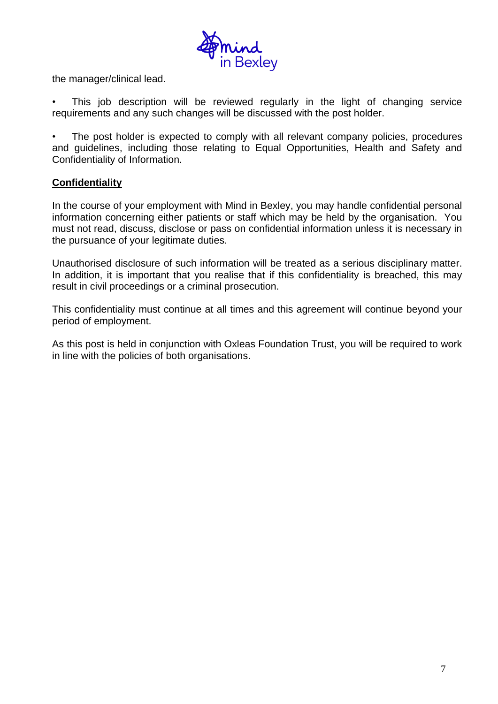

the manager/clinical lead.

This job description will be reviewed regularly in the light of changing service requirements and any such changes will be discussed with the post holder.

The post holder is expected to comply with all relevant company policies, procedures and guidelines, including those relating to Equal Opportunities, Health and Safety and Confidentiality of Information.

## **Confidentiality**

In the course of your employment with Mind in Bexley, you may handle confidential personal information concerning either patients or staff which may be held by the organisation. You must not read, discuss, disclose or pass on confidential information unless it is necessary in the pursuance of your legitimate duties.

Unauthorised disclosure of such information will be treated as a serious disciplinary matter. In addition, it is important that you realise that if this confidentiality is breached, this may result in civil proceedings or a criminal prosecution.

This confidentiality must continue at all times and this agreement will continue beyond your period of employment.

As this post is held in conjunction with Oxleas Foundation Trust, you will be required to work in line with the policies of both organisations.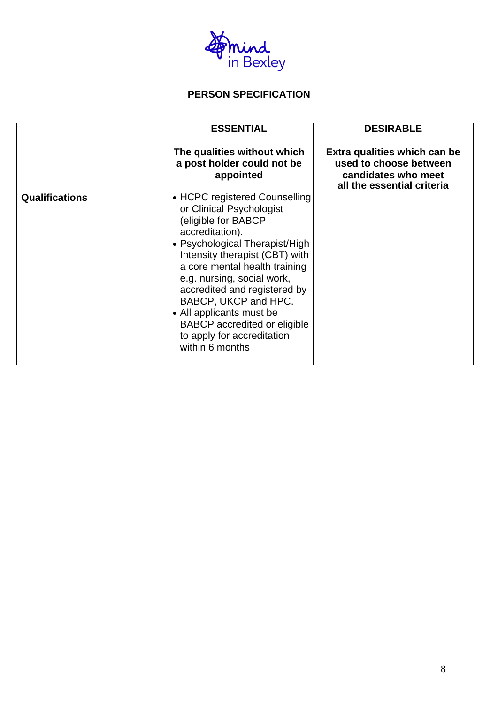

## **PERSON SPECIFICATION**

|                       | <b>ESSENTIAL</b>                                                                                                                                                                                                                                                                                                                                                                                                   | <b>DESIRABLE</b>                                                                                            |
|-----------------------|--------------------------------------------------------------------------------------------------------------------------------------------------------------------------------------------------------------------------------------------------------------------------------------------------------------------------------------------------------------------------------------------------------------------|-------------------------------------------------------------------------------------------------------------|
|                       | The qualities without which<br>a post holder could not be<br>appointed                                                                                                                                                                                                                                                                                                                                             | Extra qualities which can be<br>used to choose between<br>candidates who meet<br>all the essential criteria |
| <b>Qualifications</b> | • HCPC registered Counselling<br>or Clinical Psychologist<br>(eligible for BABCP<br>accreditation).<br>• Psychological Therapist/High<br>Intensity therapist (CBT) with<br>a core mental health training<br>e.g. nursing, social work,<br>accredited and registered by<br>BABCP, UKCP and HPC.<br>• All applicants must be<br><b>BABCP</b> accredited or eligible<br>to apply for accreditation<br>within 6 months |                                                                                                             |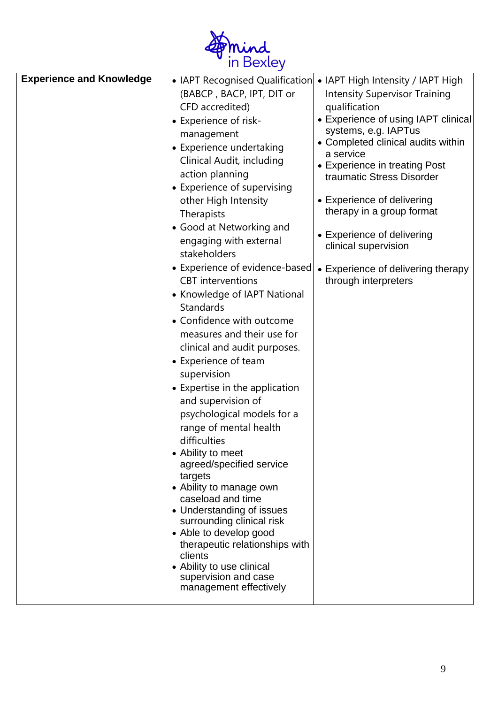

| <b>Experience and Knowledge</b> | (BABCP, BACP, IPT, DIT or<br>CFD accredited)<br>• Experience of risk-<br>management<br>• Experience undertaking<br>Clinical Audit, including<br>action planning<br>• Experience of supervising<br>other High Intensity<br>Therapists<br>• Good at Networking and<br>engaging with external<br>stakeholders<br>• Experience of evidence-based<br><b>CBT</b> interventions<br>• Knowledge of IAPT National<br>Standards<br>• Confidence with outcome<br>measures and their use for<br>clinical and audit purposes.<br>• Experience of team<br>supervision<br>• Expertise in the application<br>and supervision of<br>psychological models for a<br>range of mental health<br>difficulties<br>• Ability to meet<br>agreed/specified service<br>targets<br>• Ability to manage own<br>caseload and time<br>• Understanding of issues<br>surrounding clinical risk<br>• Able to develop good<br>therapeutic relationships with<br>clients<br>• Ability to use clinical<br>supervision and case<br>management effectively | • IAPT Recognised Qualification • IAPT High Intensity / IAPT High<br><b>Intensity Supervisor Training</b><br>qualification<br>• Experience of using IAPT clinical<br>systems, e.g. IAPTus<br>• Completed clinical audits within<br>a service<br>• Experience in treating Post<br>traumatic Stress Disorder<br>• Experience of delivering<br>therapy in a group format<br>• Experience of delivering<br>clinical supervision<br>• Experience of delivering therapy<br>through interpreters |
|---------------------------------|---------------------------------------------------------------------------------------------------------------------------------------------------------------------------------------------------------------------------------------------------------------------------------------------------------------------------------------------------------------------------------------------------------------------------------------------------------------------------------------------------------------------------------------------------------------------------------------------------------------------------------------------------------------------------------------------------------------------------------------------------------------------------------------------------------------------------------------------------------------------------------------------------------------------------------------------------------------------------------------------------------------------|-------------------------------------------------------------------------------------------------------------------------------------------------------------------------------------------------------------------------------------------------------------------------------------------------------------------------------------------------------------------------------------------------------------------------------------------------------------------------------------------|